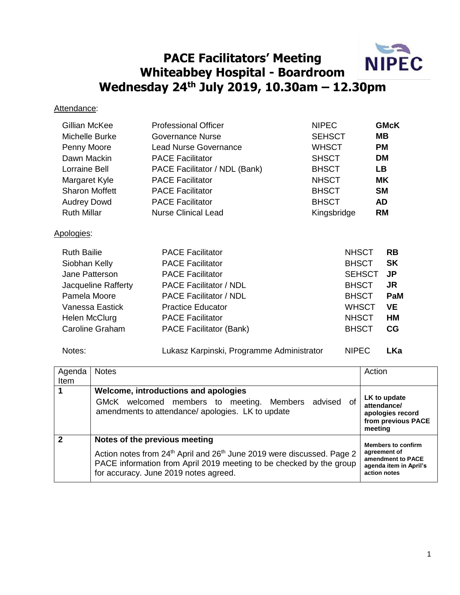

## **PACE Facilitators' Meeting Whiteabbey Hospital - Boardroom Wednesday 24th July 2019, 10.30am – 12.30pm**

## Attendance:

| Gillian McKee<br>Michelle Burke<br>Penny Moore<br>Dawn Mackin<br>Lorraine Bell<br>Margaret Kyle<br><b>Sharon Moffett</b><br><b>Audrey Dowd</b><br><b>Ruth Millar</b> | <b>Professional Officer</b><br><b>Governance Nurse</b><br><b>Lead Nurse Governance</b><br><b>PACE Facilitator</b><br>PACE Facilitator / NDL (Bank)<br><b>PACE Facilitator</b><br><b>PACE Facilitator</b><br><b>PACE Facilitator</b><br><b>Nurse Clinical Lead</b> | <b>NIPEC</b><br><b>SEHSCT</b><br><b>WHSCT</b><br><b>SHSCT</b><br><b>BHSCT</b><br><b>NHSCT</b><br><b>BHSCT</b><br><b>BHSCT</b> | <b>GMcK</b><br>MВ<br><b>PM</b><br><b>DM</b><br><b>LB</b><br><b>MK</b><br><b>SM</b><br><b>AD</b><br><b>RM</b> |
|----------------------------------------------------------------------------------------------------------------------------------------------------------------------|-------------------------------------------------------------------------------------------------------------------------------------------------------------------------------------------------------------------------------------------------------------------|-------------------------------------------------------------------------------------------------------------------------------|--------------------------------------------------------------------------------------------------------------|
| Apologies:                                                                                                                                                           |                                                                                                                                                                                                                                                                   | Kingsbridge                                                                                                                   |                                                                                                              |
| <b>Ruth Bailie</b><br>Siobhan Kelly<br>Jane Patterson<br>Jacqueline Rafferty<br>Pamela Moore<br>Vanessa Eastick<br>Helen McClurg<br>Caroline Graham                  | <b>PACE Facilitator</b><br><b>PACE Facilitator</b><br><b>PACE Facilitator</b><br><b>PACE Facilitator / NDL</b><br><b>PACE Facilitator / NDL</b><br><b>Practice Educator</b><br><b>PACE Facilitator</b><br>PACE Facilitator (Bank)                                 | <b>NHSCT</b><br><b>BHSCT</b><br><b>SEHSCT</b><br><b>BHSCT</b><br><b>BHSCT</b><br><b>WHSCT</b><br><b>NHSCT</b><br><b>BHSCT</b> | <b>RB</b><br><b>SK</b><br>JP<br>JR<br>PaM<br><b>VE</b><br>HM<br>CG                                           |

Notes: Lukasz Karpinski, Programme Administrator NIPEC **LKa**

| Agenda<br>Item             | <b>Notes</b>                                                                                                                                                                                                                                    | Action                                                                                                   |
|----------------------------|-------------------------------------------------------------------------------------------------------------------------------------------------------------------------------------------------------------------------------------------------|----------------------------------------------------------------------------------------------------------|
|                            | Welcome, introductions and apologies<br>advised<br>GMcK welcomed members to meeting.<br>Members<br>οf<br>amendments to attendance/ apologies. LK to update                                                                                      | LK to update<br>attendance/<br>apologies record<br>from previous PACE<br>meeting                         |
| $\boldsymbol{\mathcal{P}}$ | Notes of the previous meeting<br>Action notes from 24 <sup>th</sup> April and 26 <sup>th</sup> June 2019 were discussed. Page 2<br>PACE information from April 2019 meeting to be checked by the group<br>for accuracy. June 2019 notes agreed. | <b>Members to confirm</b><br>agreement of<br>amendment to PACE<br>agenda item in April's<br>action notes |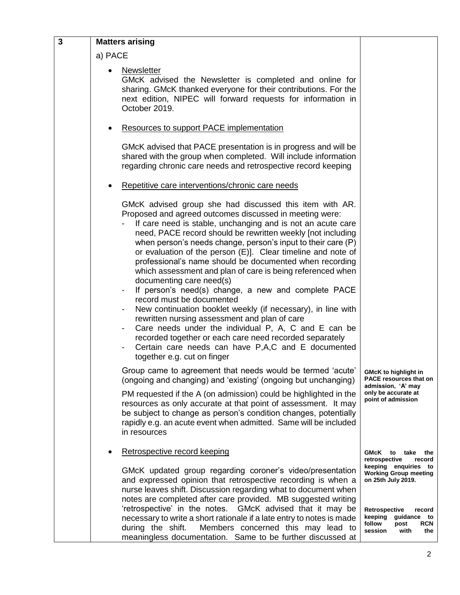| $\overline{\mathbf{3}}$ | <b>Matters arising</b>                                                                                                                                                                                                                                                                                                                                                                                                                                                                                                                                                                                                                                                                                                                                                                                                                                                                                                                                                         |                                                                                                                                                                                           |  |
|-------------------------|--------------------------------------------------------------------------------------------------------------------------------------------------------------------------------------------------------------------------------------------------------------------------------------------------------------------------------------------------------------------------------------------------------------------------------------------------------------------------------------------------------------------------------------------------------------------------------------------------------------------------------------------------------------------------------------------------------------------------------------------------------------------------------------------------------------------------------------------------------------------------------------------------------------------------------------------------------------------------------|-------------------------------------------------------------------------------------------------------------------------------------------------------------------------------------------|--|
|                         | a) PACE                                                                                                                                                                                                                                                                                                                                                                                                                                                                                                                                                                                                                                                                                                                                                                                                                                                                                                                                                                        |                                                                                                                                                                                           |  |
|                         | Newsletter<br>GMcK advised the Newsletter is completed and online for<br>sharing. GMcK thanked everyone for their contributions. For the<br>next edition, NIPEC will forward requests for information in<br>October 2019.                                                                                                                                                                                                                                                                                                                                                                                                                                                                                                                                                                                                                                                                                                                                                      |                                                                                                                                                                                           |  |
|                         | <b>Resources to support PACE implementation</b>                                                                                                                                                                                                                                                                                                                                                                                                                                                                                                                                                                                                                                                                                                                                                                                                                                                                                                                                |                                                                                                                                                                                           |  |
|                         | GMcK advised that PACE presentation is in progress and will be<br>shared with the group when completed. Will include information<br>regarding chronic care needs and retrospective record keeping                                                                                                                                                                                                                                                                                                                                                                                                                                                                                                                                                                                                                                                                                                                                                                              |                                                                                                                                                                                           |  |
|                         | Repetitive care interventions/chronic care needs                                                                                                                                                                                                                                                                                                                                                                                                                                                                                                                                                                                                                                                                                                                                                                                                                                                                                                                               |                                                                                                                                                                                           |  |
|                         | GMcK advised group she had discussed this item with AR.<br>Proposed and agreed outcomes discussed in meeting were:<br>If care need is stable, unchanging and is not an acute care<br>need, PACE record should be rewritten weekly [not including<br>when person's needs change, person's input to their care (P)<br>or evaluation of the person (E)]. Clear timeline and note of<br>professional's name should be documented when recording<br>which assessment and plan of care is being referenced when<br>documenting care need(s)<br>If person's need(s) change, a new and complete PACE<br>record must be documented<br>New continuation booklet weekly (if necessary), in line with<br>rewritten nursing assessment and plan of care<br>Care needs under the individual P, A, C and E can be<br>$\overline{\phantom{a}}$<br>recorded together or each care need recorded separately<br>Certain care needs can have P,A,C and E documented<br>together e.g. cut on finger |                                                                                                                                                                                           |  |
|                         | Group came to agreement that needs would be termed 'acute'<br>(ongoing and changing) and 'existing' (ongoing but unchanging)                                                                                                                                                                                                                                                                                                                                                                                                                                                                                                                                                                                                                                                                                                                                                                                                                                                   | <b>GMcK to highlight in</b><br><b>PACE resources that on</b><br>admission, 'A' may                                                                                                        |  |
|                         | PM requested if the A (on admission) could be highlighted in the<br>resources as only accurate at that point of assessment. It may<br>be subject to change as person's condition changes, potentially<br>rapidly e.g. an acute event when admitted. Same will be included<br>in resources                                                                                                                                                                                                                                                                                                                                                                                                                                                                                                                                                                                                                                                                                      | only be accurate at<br>point of admission                                                                                                                                                 |  |
|                         | Retrospective record keeping                                                                                                                                                                                                                                                                                                                                                                                                                                                                                                                                                                                                                                                                                                                                                                                                                                                                                                                                                   | GMcK to take<br>the<br>retrospective<br>record                                                                                                                                            |  |
|                         | GMcK updated group regarding coroner's video/presentation<br>and expressed opinion that retrospective recording is when a<br>nurse leaves shift. Discussion regarding what to document when<br>notes are completed after care provided. MB suggested writing<br>'retrospective' in the notes. GMcK advised that it may be<br>necessary to write a short rationale if a late entry to notes is made<br>during the shift.<br>Members concerned this may lead to<br>meaningless documentation. Same to be further discussed at                                                                                                                                                                                                                                                                                                                                                                                                                                                    | keeping enquiries to<br><b>Working Group meeting</b><br>on 25th July 2019.<br>Retrospective<br>record<br>keeping<br>guidance to<br>follow<br>post<br><b>RCN</b><br>session<br>with<br>the |  |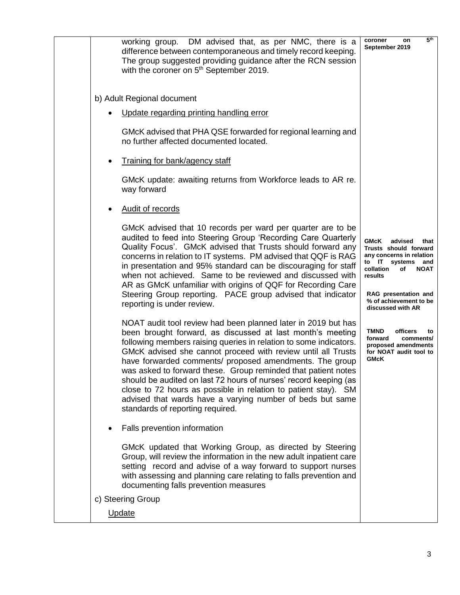| working group. DM advised that, as per NMC, there is a<br>difference between contemporaneous and timely record keeping.<br>The group suggested providing guidance after the RCN session<br>with the coroner on 5 <sup>th</sup> September 2019.                                                                                                                                                                                                                                                                                                                                                                                      | 5 <sup>th</sup><br>coroner<br>on<br>September 2019                                                                                                                                                                       |
|-------------------------------------------------------------------------------------------------------------------------------------------------------------------------------------------------------------------------------------------------------------------------------------------------------------------------------------------------------------------------------------------------------------------------------------------------------------------------------------------------------------------------------------------------------------------------------------------------------------------------------------|--------------------------------------------------------------------------------------------------------------------------------------------------------------------------------------------------------------------------|
| b) Adult Regional document                                                                                                                                                                                                                                                                                                                                                                                                                                                                                                                                                                                                          |                                                                                                                                                                                                                          |
| Update regarding printing handling error                                                                                                                                                                                                                                                                                                                                                                                                                                                                                                                                                                                            |                                                                                                                                                                                                                          |
| GMcK advised that PHA QSE forwarded for regional learning and<br>no further affected documented located.                                                                                                                                                                                                                                                                                                                                                                                                                                                                                                                            |                                                                                                                                                                                                                          |
| Training for bank/agency staff                                                                                                                                                                                                                                                                                                                                                                                                                                                                                                                                                                                                      |                                                                                                                                                                                                                          |
| GMcK update: awaiting returns from Workforce leads to AR re.<br>way forward                                                                                                                                                                                                                                                                                                                                                                                                                                                                                                                                                         |                                                                                                                                                                                                                          |
| <b>Audit of records</b>                                                                                                                                                                                                                                                                                                                                                                                                                                                                                                                                                                                                             |                                                                                                                                                                                                                          |
| GMcK advised that 10 records per ward per quarter are to be<br>audited to feed into Steering Group 'Recording Care Quarterly<br>Quality Focus'. GMcK advised that Trusts should forward any<br>concerns in relation to IT systems. PM advised that QQF is RAG<br>in presentation and 95% standard can be discouraging for staff<br>when not achieved. Same to be reviewed and discussed with<br>AR as GMcK unfamiliar with origins of QQF for Recording Care<br>Steering Group reporting. PACE group advised that indicator<br>reporting is under review.                                                                           | GMcK<br>advised<br>that<br>Trusts should forward<br>any concerns in relation<br>to IT systems<br>and<br>collation<br>of<br><b>NOAT</b><br>results<br>RAG presentation and<br>% of achievement to be<br>discussed with AR |
| NOAT audit tool review had been planned later in 2019 but has<br>been brought forward, as discussed at last month's meeting<br>following members raising queries in relation to some indicators.<br>GMcK advised she cannot proceed with review until all Trusts<br>have forwarded comments/ proposed amendments. The group<br>was asked to forward these. Group reminded that patient notes<br>should be audited on last 72 hours of nurses' record keeping (as<br>close to 72 hours as possible in relation to patient stay). SM<br>advised that wards have a varying number of beds but same<br>standards of reporting required. | <b>TMND</b><br>officers<br>to<br>forward<br>comments/<br>proposed amendments<br>for NOAT audit tool to<br><b>GMcK</b>                                                                                                    |
| Falls prevention information<br>GMcK updated that Working Group, as directed by Steering<br>Group, will review the information in the new adult inpatient care<br>setting record and advise of a way forward to support nurses<br>with assessing and planning care relating to falls prevention and<br>documenting falls prevention measures                                                                                                                                                                                                                                                                                        |                                                                                                                                                                                                                          |
| c) Steering Group                                                                                                                                                                                                                                                                                                                                                                                                                                                                                                                                                                                                                   |                                                                                                                                                                                                                          |
| Update                                                                                                                                                                                                                                                                                                                                                                                                                                                                                                                                                                                                                              |                                                                                                                                                                                                                          |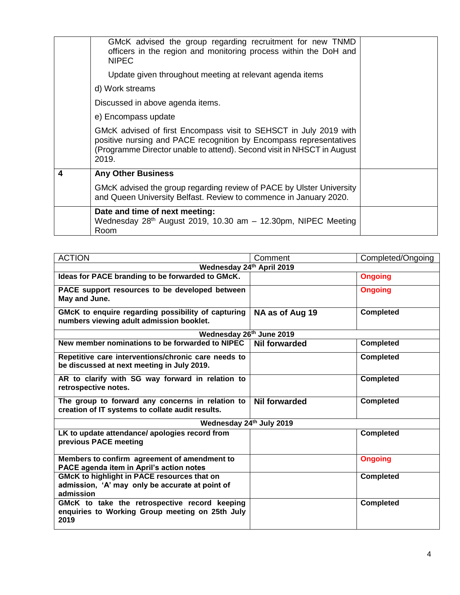|   | GMcK advised the group regarding recruitment for new TNMD<br>officers in the region and monitoring process within the DoH and<br><b>NIPEC</b><br>Update given throughout meeting at relevant agenda items                  |  |
|---|----------------------------------------------------------------------------------------------------------------------------------------------------------------------------------------------------------------------------|--|
|   | d) Work streams                                                                                                                                                                                                            |  |
|   | Discussed in above agenda items.                                                                                                                                                                                           |  |
|   | e) Encompass update                                                                                                                                                                                                        |  |
|   | GMcK advised of first Encompass visit to SEHSCT in July 2019 with<br>positive nursing and PACE recognition by Encompass representatives<br>(Programme Director unable to attend). Second visit in NHSCT in August<br>2019. |  |
| 4 | <b>Any Other Business</b>                                                                                                                                                                                                  |  |
|   | GMcK advised the group regarding review of PACE by Ulster University<br>and Queen University Belfast. Review to commence in January 2020.                                                                                  |  |
|   | Date and time of next meeting:<br>Wednesday $28th$ August 2019, 10.30 am - 12.30pm, NIPEC Meeting<br>Room                                                                                                                  |  |

| <b>ACTION</b>                                                                                               | Comment              | Completed/Ongoing |
|-------------------------------------------------------------------------------------------------------------|----------------------|-------------------|
| Wednesday 24th April 2019                                                                                   |                      |                   |
| Ideas for PACE branding to be forwarded to GMcK.                                                            |                      | <b>Ongoing</b>    |
| PACE support resources to be developed between<br>May and June.                                             |                      | <b>Ongoing</b>    |
| GMcK to enquire regarding possibility of capturing<br>numbers viewing adult admission booklet.              | NA as of Aug 19      | <b>Completed</b>  |
| Wednesday 26th June 2019                                                                                    |                      |                   |
| New member nominations to be forwarded to NIPEC                                                             | <b>Nil forwarded</b> | <b>Completed</b>  |
| Repetitive care interventions/chronic care needs to<br>be discussed at next meeting in July 2019.           |                      | <b>Completed</b>  |
| AR to clarify with SG way forward in relation to<br>retrospective notes.                                    |                      | <b>Completed</b>  |
| The group to forward any concerns in relation to<br>creation of IT systems to collate audit results.        | <b>Nil forwarded</b> | <b>Completed</b>  |
| Wednesday 24th July 2019                                                                                    |                      |                   |
| LK to update attendance/ apologies record from<br>previous PACE meeting                                     |                      | <b>Completed</b>  |
| Members to confirm agreement of amendment to<br>PACE agenda item in April's action notes                    |                      | <b>Ongoing</b>    |
| GMcK to highlight in PACE resources that on<br>admission, 'A' may only be accurate at point of<br>admission |                      | <b>Completed</b>  |
| GMcK to take the retrospective record keeping<br>enquiries to Working Group meeting on 25th July<br>2019    |                      | <b>Completed</b>  |